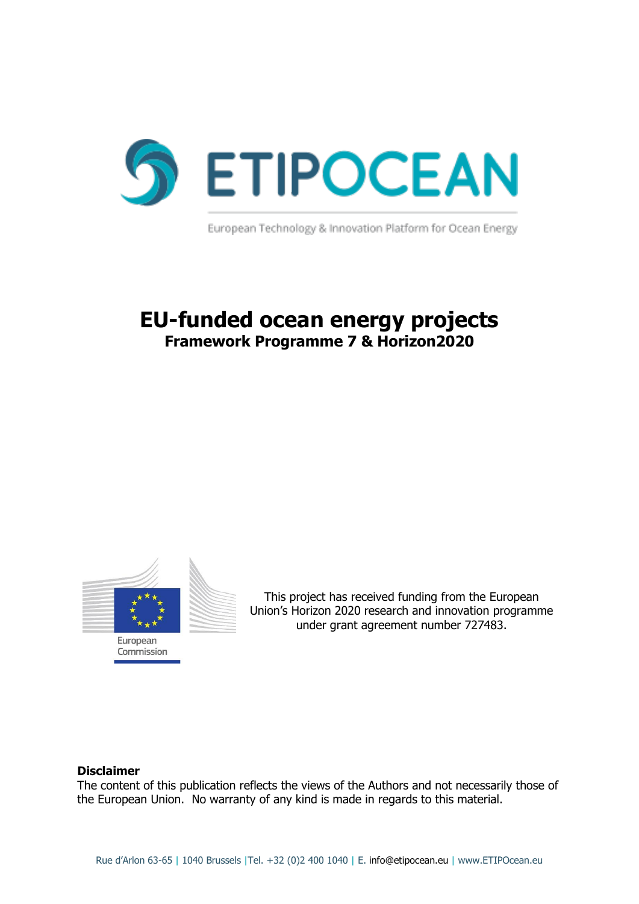

European Technology & Innovation Platform for Ocean Energy

## **EU-funded ocean energy projects Framework Programme 7 & Horizon2020**



This project has received funding from the European Union's Horizon 2020 research and innovation programme under grant agreement number 727483.

#### **Disclaimer**

The content of this publication reflects the views of the Authors and not necessarily those of the European Union. No warranty of any kind is made in regards to this material.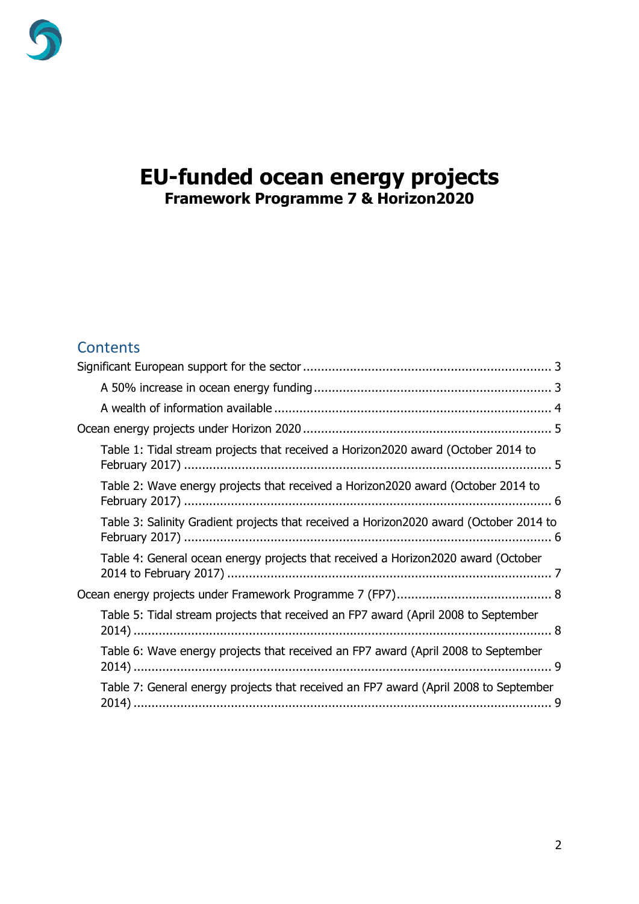

## **EU-funded ocean energy projects Framework Programme 7 & Horizon2020**

### **Contents**

| Table 1: Tidal stream projects that received a Horizon2020 award (October 2014 to      |  |
|----------------------------------------------------------------------------------------|--|
| Table 2: Wave energy projects that received a Horizon2020 award (October 2014 to       |  |
| Table 3: Salinity Gradient projects that received a Horizon2020 award (October 2014 to |  |
| Table 4: General ocean energy projects that received a Horizon2020 award (October      |  |
|                                                                                        |  |
| Table 5: Tidal stream projects that received an FP7 award (April 2008 to September     |  |
| Table 6: Wave energy projects that received an FP7 award (April 2008 to September      |  |
| Table 7: General energy projects that received an FP7 award (April 2008 to September   |  |
|                                                                                        |  |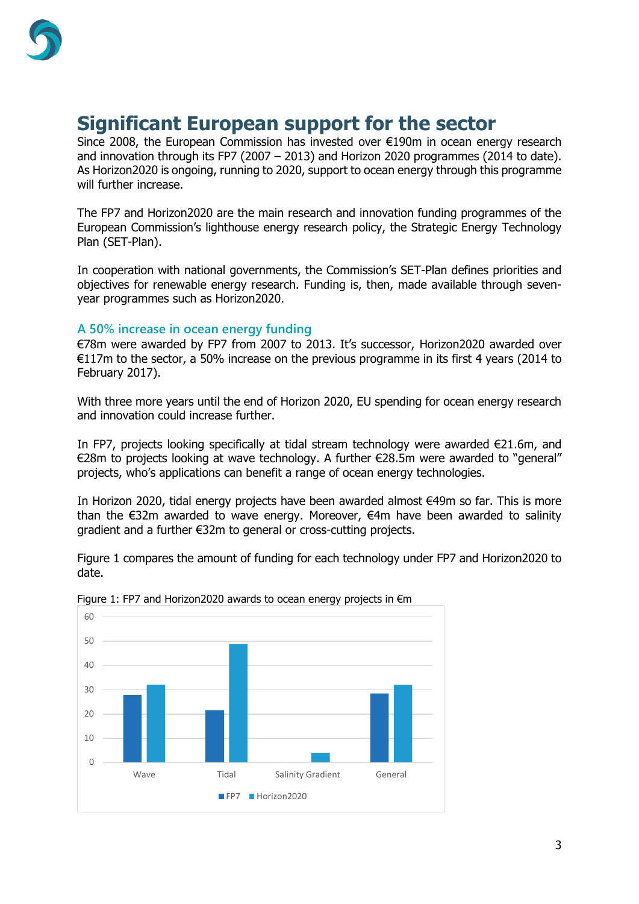

# <span id="page-2-0"></span>**Significant European support for the sector**

Since 2008, the European Commission has invested over €190m in ocean energy research and innovation through its FP7 (2007 – 2013) and Horizon 2020 programmes (2014 to date). As Horizon2020 is ongoing, running to 2020, support to ocean energy through this programme will further increase.

The FP7 and Horizon2020 are the main research and innovation funding programmes of the European Commission's lighthouse energy research policy, the Strategic Energy Technology Plan (SET-Plan).

In cooperation with national governments, the Commission's SET-Plan defines priorities and objectives for renewable energy research. Funding is, then, made available through sevenyear programmes such as Horizon2020.

#### <span id="page-2-1"></span>**A 50% increase in ocean energy funding**

€78m were awarded by FP7 from 2007 to 2013. It's successor, Horizon2020 awarded over €117m to the sector, a 50% increase on the previous programme in its first 4 years (2014 to February 2017).

With three more years until the end of Horizon 2020, EU spending for ocean energy research and innovation could increase further.

In FP7, projects looking specifically at tidal stream technology were awarded €21.6m, and €28m to projects looking at wave technology. A further €28.5m were awarded to "general" projects, who's applications can benefit a range of ocean energy technologies.

In Horizon 2020, tidal energy projects have been awarded almost €49m so far. This is more than the €32m awarded to wave energy. Moreover, €4m have been awarded to salinity gradient and a further €32m to general or cross-cutting projects.

Figure 1 compares the amount of funding for each technology under FP7 and Horizon2020 to date.



Figure 1: FP7 and Horizon2020 awards to ocean energy projects in €m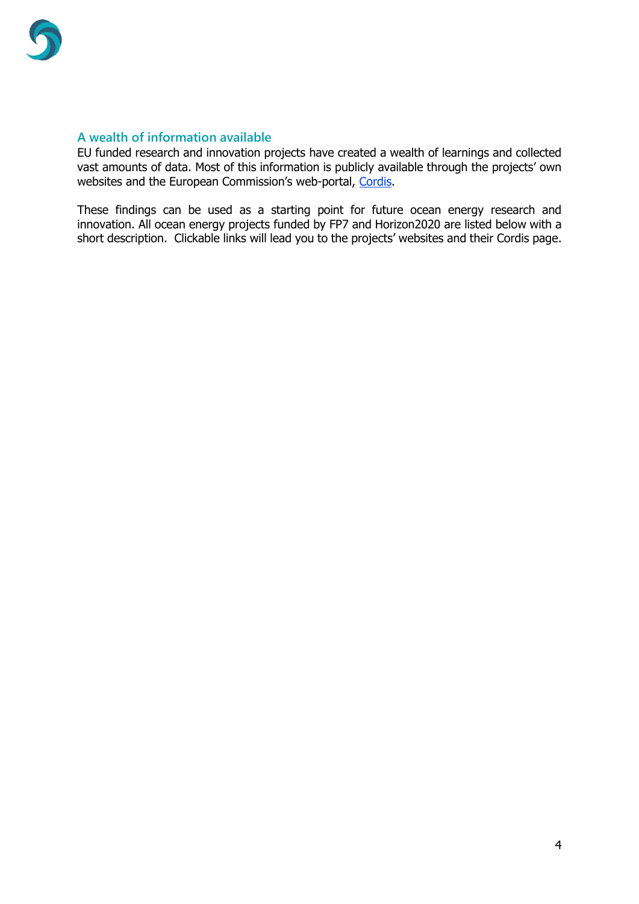

#### <span id="page-3-0"></span>**A wealth of information available**

EU funded research and innovation projects have created a wealth of learnings and collected vast amounts of data. Most of this information is publicly available through the projects' own websites and the European Commission's web-portal, [Cordis.](http://cordis.europa.eu/home_en.html)

These findings can be used as a starting point for future ocean energy research and innovation. All ocean energy projects funded by FP7 and Horizon2020 are listed below with a short description. Clickable links will lead you to the projects' websites and their Cordis page.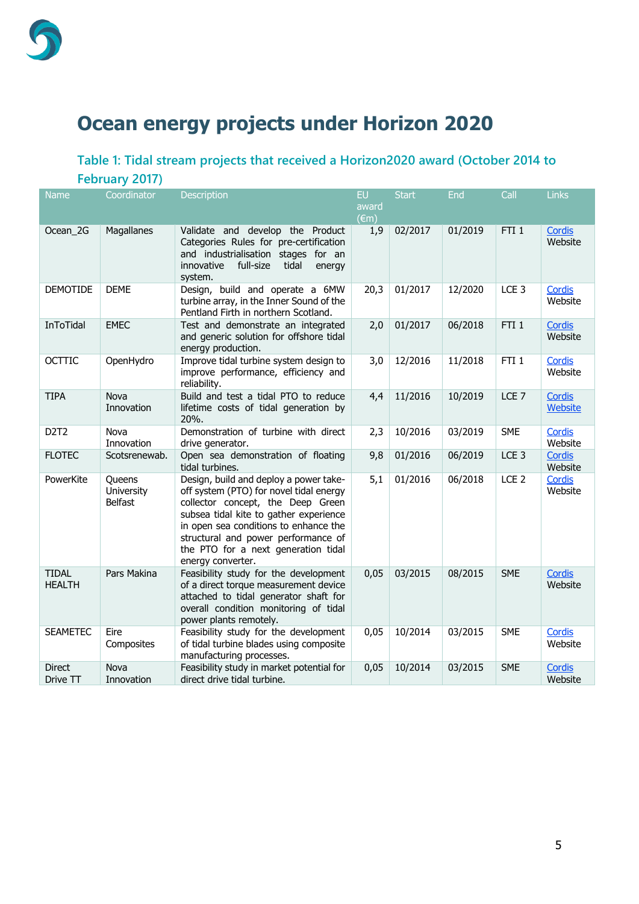

# <span id="page-4-0"></span>**Ocean energy projects under Horizon 2020**

### <span id="page-4-1"></span>**Table 1: Tidal stream projects that received a Horizon2020 award (October 2014 to February 2017)**

| <b>Name</b>                   | Coordinator                            | <b>Description</b>                                                                                                                                                                                                                                                                                           | EU                      | <b>Start</b> | End     | Call             | <b>Links</b>             |
|-------------------------------|----------------------------------------|--------------------------------------------------------------------------------------------------------------------------------------------------------------------------------------------------------------------------------------------------------------------------------------------------------------|-------------------------|--------------|---------|------------------|--------------------------|
|                               |                                        |                                                                                                                                                                                                                                                                                                              | award<br>$(\epsilon m)$ |              |         |                  |                          |
| Ocean 2G                      | Magallanes                             | Validate and develop the Product<br>Categories Rules for pre-certification<br>and industrialisation stages for an<br>full-size<br>tidal<br>innovative<br>energy<br>system.                                                                                                                                   | 1,9                     | 02/2017      | 01/2019 | FTI <sub>1</sub> | Cordis<br>Website        |
| <b>DEMOTIDE</b>               | <b>DEME</b>                            | Design, build and operate a 6MW<br>turbine array, in the Inner Sound of the<br>Pentland Firth in northern Scotland.                                                                                                                                                                                          | 20,3                    | 01/2017      | 12/2020 | LCE <sub>3</sub> | Cordis<br>Website        |
| InToTidal                     | <b>EMEC</b>                            | Test and demonstrate an integrated<br>and generic solution for offshore tidal<br>energy production.                                                                                                                                                                                                          | 2,0                     | 01/2017      | 06/2018 | FTI <sub>1</sub> | <b>Cordis</b><br>Website |
| <b>OCTTIC</b>                 | OpenHydro                              | Improve tidal turbine system design to<br>improve performance, efficiency and<br>reliability.                                                                                                                                                                                                                | 3,0                     | 12/2016      | 11/2018 | FTI <sub>1</sub> | Cordis<br>Website        |
| <b>TIPA</b>                   | Nova<br>Innovation                     | Build and test a tidal PTO to reduce<br>lifetime costs of tidal generation by<br>20%.                                                                                                                                                                                                                        | 4,4                     | 11/2016      | 10/2019 | LCE <sub>7</sub> | <b>Cordis</b><br>Website |
| D <sub>2</sub> T <sub>2</sub> | Nova<br>Innovation                     | Demonstration of turbine with direct<br>drive generator.                                                                                                                                                                                                                                                     | 2,3                     | 10/2016      | 03/2019 | <b>SME</b>       | <b>Cordis</b><br>Website |
| <b>FLOTEC</b>                 | Scotsrenewab.                          | Open sea demonstration of floating<br>tidal turbines.                                                                                                                                                                                                                                                        | 9,8                     | 01/2016      | 06/2019 | LCE <sub>3</sub> | Cordis<br>Website        |
| PowerKite                     | Queens<br>University<br><b>Belfast</b> | Design, build and deploy a power take-<br>off system (PTO) for novel tidal energy<br>collector concept, the Deep Green<br>subsea tidal kite to gather experience<br>in open sea conditions to enhance the<br>structural and power performance of<br>the PTO for a next generation tidal<br>energy converter. | 5,1                     | 01/2016      | 06/2018 | LCE <sub>2</sub> | Cordis<br>Website        |
| <b>TIDAL</b><br><b>HEALTH</b> | Pars Makina                            | Feasibility study for the development<br>of a direct torque measurement device<br>attached to tidal generator shaft for<br>overall condition monitoring of tidal<br>power plants remotely.                                                                                                                   | 0,05                    | 03/2015      | 08/2015 | <b>SME</b>       | Cordis<br>Website        |
| <b>SEAMETEC</b>               | Eire<br>Composites                     | Feasibility study for the development<br>of tidal turbine blades using composite<br>manufacturing processes.                                                                                                                                                                                                 | 0,05                    | 10/2014      | 03/2015 | <b>SME</b>       | Cordis<br>Website        |
| <b>Direct</b><br>Drive TT     | <b>Nova</b><br>Innovation              | Feasibility study in market potential for<br>direct drive tidal turbine.                                                                                                                                                                                                                                     | 0,05                    | 10/2014      | 03/2015 | <b>SME</b>       | Cordis<br>Website        |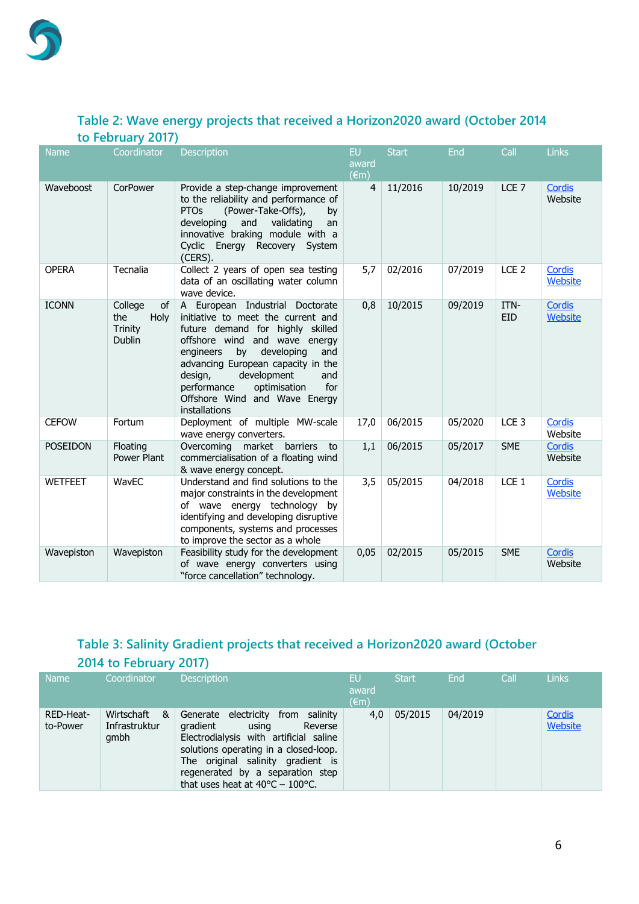

#### <span id="page-5-0"></span>**Table 2: Wave energy projects that received a Horizon2020 award (October 2014 to February 2017)**

| <b>Name</b>     | Coordinator                                                     | Description                                                                                                                                                                                                                                                                                                                                       | <b>EU</b><br>award<br>$(\epsilon m)$ | <b>Start</b> | End     | Call               | <b>Links</b>      |
|-----------------|-----------------------------------------------------------------|---------------------------------------------------------------------------------------------------------------------------------------------------------------------------------------------------------------------------------------------------------------------------------------------------------------------------------------------------|--------------------------------------|--------------|---------|--------------------|-------------------|
| Waveboost       | CorPower                                                        | Provide a step-change improvement<br>to the reliability and performance of<br><b>PTOs</b><br>(Power-Take-Offs),<br>by<br>developing<br>and<br>validating<br>an<br>innovative braking module with a<br>Cyclic Energy Recovery System<br>(CERS).                                                                                                    | $\overline{4}$                       | 11/2016      | 10/2019 | LCE <sub>7</sub>   | Cordis<br>Website |
| <b>OPERA</b>    | Tecnalia                                                        | Collect 2 years of open sea testing<br>data of an oscillating water column<br>wave device.                                                                                                                                                                                                                                                        | 5,7                                  | 02/2016      | 07/2019 | LCE <sub>2</sub>   | Cordis<br>Website |
| <b>ICONN</b>    | College<br><b>of</b><br>the<br>Holy<br>Trinity<br><b>Dublin</b> | A European Industrial Doctorate<br>initiative to meet the current and<br>future demand for highly skilled<br>offshore wind and wave energy<br>developing<br>by<br>engineers<br>and<br>advancing European capacity in the<br>development<br>design,<br>and<br>optimisation<br>for<br>performance<br>Offshore Wind and Wave Energy<br>installations | 0,8                                  | 10/2015      | 09/2019 | ITN-<br><b>EID</b> | Cordis<br>Website |
| <b>CEFOW</b>    | Fortum                                                          | Deployment of multiple MW-scale<br>wave energy converters.                                                                                                                                                                                                                                                                                        | 17,0                                 | 06/2015      | 05/2020 | LCE <sub>3</sub>   | Cordis<br>Website |
| <b>POSEIDON</b> | Floating<br>Power Plant                                         | Overcoming market barriers<br>to<br>commercialisation of a floating wind<br>& wave energy concept.                                                                                                                                                                                                                                                | 1,1                                  | 06/2015      | 05/2017 | <b>SME</b>         | Cordis<br>Website |
| <b>WETFEET</b>  | WavEC                                                           | Understand and find solutions to the<br>major constraints in the development<br>of wave energy technology by<br>identifying and developing disruptive<br>components, systems and processes<br>to improve the sector as a whole                                                                                                                    | 3,5                                  | 05/2015      | 04/2018 | LCE <sub>1</sub>   | Cordis<br>Website |
| Wavepiston      | Wavepiston                                                      | Feasibility study for the development<br>of wave energy converters using<br>"force cancellation" technology.                                                                                                                                                                                                                                      | 0,05                                 | 02/2015      | 05/2015 | <b>SME</b>         | Cordis<br>Website |

## <span id="page-5-1"></span>**Table 3: Salinity Gradient projects that received a Horizon2020 award (October 2014 to February 2017)**

| <b>Name</b>           | Coordinator                              | <b>Description</b>                                                                                                                                                                                                                                                                             | EU<br>award<br>$(\epsilon m)$ | <b>Start</b> | End     | Call | <b>Links</b>      |
|-----------------------|------------------------------------------|------------------------------------------------------------------------------------------------------------------------------------------------------------------------------------------------------------------------------------------------------------------------------------------------|-------------------------------|--------------|---------|------|-------------------|
| RED-Heat-<br>to-Power | Wirtschaft<br>&<br>Infrastruktur<br>qmbh | electricity<br>salinity<br>Generate<br>from<br>gradient<br>Reverse<br>using<br>Electrodialysis with artificial saline<br>solutions operating in a closed-loop.<br>The original salinity gradient is<br>regenerated by a separation step<br>that uses heat at $40^{\circ}$ C – $100^{\circ}$ C. | 4.0                           | 05/2015      | 04/2019 |      | Cordis<br>Website |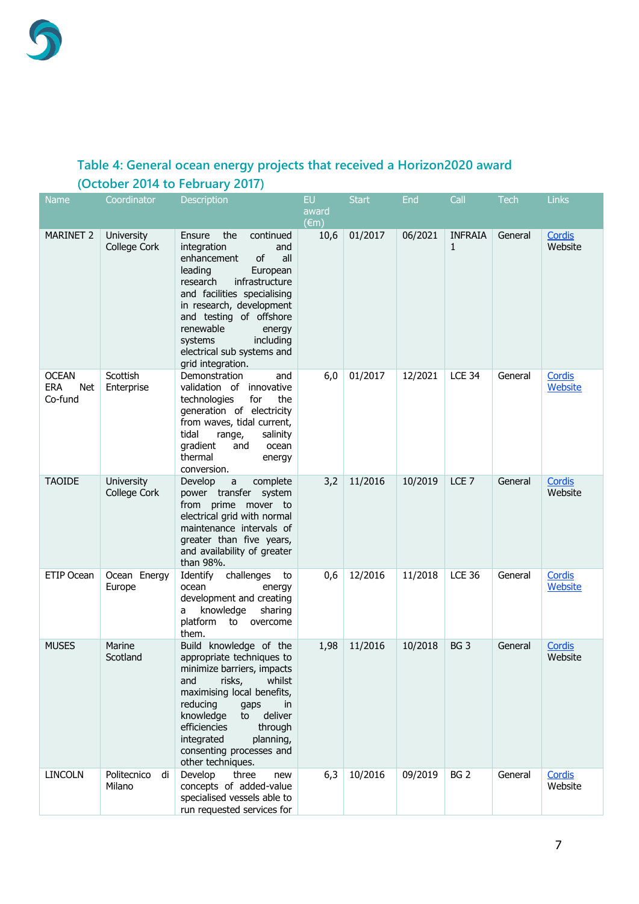### <span id="page-6-0"></span>**Table 4: General ocean energy projects that received a Horizon2020 award (October 2014 to February 2017)**

| <b>Name</b>                                  | Coordinator                 | <b>Description</b>                                                                                                                                                                                                                                                                                                        | <b>EU</b><br>award<br>$(\epsilon m)$ | <b>Start</b> | <b>End</b> | Call                | <b>Tech</b> | <b>Links</b>             |
|----------------------------------------------|-----------------------------|---------------------------------------------------------------------------------------------------------------------------------------------------------------------------------------------------------------------------------------------------------------------------------------------------------------------------|--------------------------------------|--------------|------------|---------------------|-------------|--------------------------|
| <b>MARINET 2</b>                             | University<br>College Cork  | continued<br>the<br>Ensure<br>integration<br>and<br>of<br>enhancement<br>all<br>leading<br>European<br>research<br>infrastructure<br>and facilities specialising<br>in research, development<br>and testing of offshore<br>renewable<br>energy<br>including<br>systems<br>electrical sub systems and<br>grid integration. | 10,6                                 | 01/2017      | 06/2021    | <b>INFRAIA</b><br>1 | General     | Cordis<br>Website        |
| <b>OCEAN</b><br><b>ERA</b><br>Net<br>Co-fund | Scottish<br>Enterprise      | Demonstration<br>and<br>validation of innovative<br>technologies<br>the<br>for<br>generation of electricity<br>from waves, tidal current,<br>tidal<br>range,<br>salinity<br>gradient<br>and<br>ocean<br>thermal<br>energy<br>conversion.                                                                                  | 6,0                                  | 01/2017      | 12/2021    | <b>LCE 34</b>       | General     | Cordis<br>Website        |
| <b>TAOIDE</b>                                | University<br>College Cork  | Develop<br>complete<br>a<br>power transfer system<br>from prime mover to<br>electrical grid with normal<br>maintenance intervals of<br>greater than five years,<br>and availability of greater<br>than 98%.                                                                                                               | 3,2                                  | 11/2016      | 10/2019    | LCE <sub>7</sub>    | General     | Cordis<br>Website        |
| ETIP Ocean                                   | Ocean Energy<br>Europe      | Identify challenges<br>to<br>ocean<br>energy<br>development and creating<br>knowledge<br>sharing<br>a<br>platform to overcome<br>them.                                                                                                                                                                                    | 0,6                                  | 12/2016      | 11/2018    | <b>LCE 36</b>       | General     | Cordis<br>Website        |
| <b>MUSES</b>                                 | Marine<br>Scotland          | Build knowledge of the<br>appropriate techniques to<br>minimize barriers, impacts<br>risks,<br>whilst<br>and<br>maximising local benefits,<br>reducing<br>gaps<br>in<br>deliver<br>knowledge<br>to<br>efficiencies<br>through<br>integrated<br>planning,<br>consenting processes and<br>other techniques.                 | 1,98                                 | 11/2016      | 10/2018    | BG <sub>3</sub>     | General     | <b>Cordis</b><br>Website |
| <b>LINCOLN</b>                               | Politecnico<br>di<br>Milano | Develop<br>three<br>new<br>concepts of added-value<br>specialised vessels able to<br>run requested services for                                                                                                                                                                                                           | 6,3                                  | 10/2016      | 09/2019    | BG <sub>2</sub>     | General     | Cordis<br>Website        |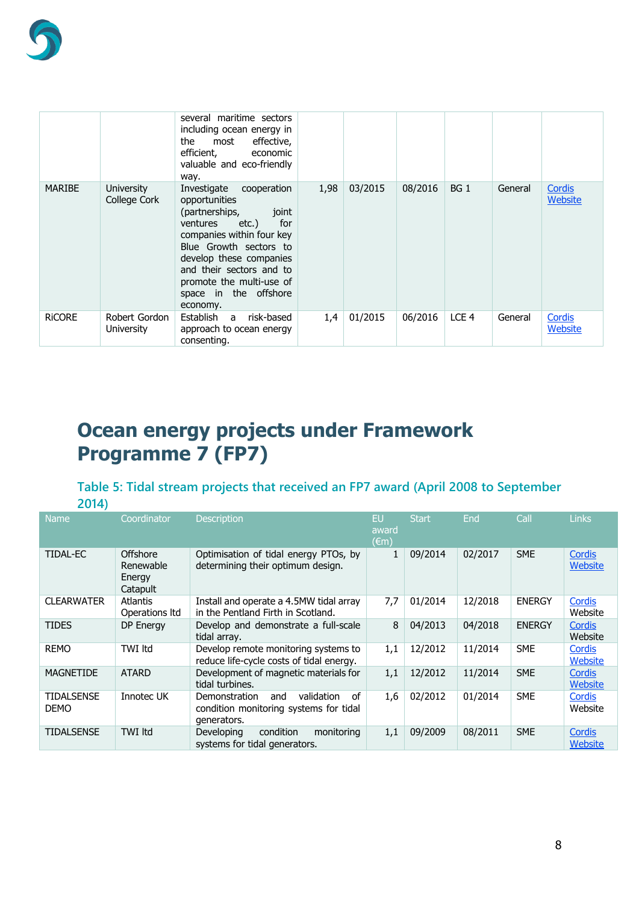

|               |                             | several maritime sectors<br>including ocean energy in<br>the<br>effective,<br>most<br>efficient,<br>economic<br>valuable and eco-friendly<br>way.                                                                                                                              |      |         |         |                  |         |                   |
|---------------|-----------------------------|--------------------------------------------------------------------------------------------------------------------------------------------------------------------------------------------------------------------------------------------------------------------------------|------|---------|---------|------------------|---------|-------------------|
| <b>MARIBE</b> | University<br>College Cork  | Investigate cooperation<br>opportunities<br>(partnerships,<br>joint<br>ventures<br>etc.)<br>for<br>companies within four key<br>Blue Growth sectors to<br>develop these companies<br>and their sectors and to<br>promote the multi-use of<br>space in the offshore<br>economy. | 1,98 | 03/2015 | 08/2016 | BG <sub>1</sub>  | General | Cordis<br>Website |
| <b>RICORE</b> | Robert Gordon<br>University | Establish a<br>risk-based<br>approach to ocean energy<br>consenting.                                                                                                                                                                                                           | 1,4  | 01/2015 | 06/2016 | LCE <sub>4</sub> | General | Cordis<br>Website |

# <span id="page-7-0"></span>**Ocean energy projects under Framework Programme 7 (FP7)**

## <span id="page-7-1"></span>**Table 5: Tidal stream projects that received an FP7 award (April 2008 to September**

| ٠ |  |
|---|--|
|   |  |

| <b>Name</b>                      | Coordinator                                 | <b>Description</b>                                                                                | EU<br>award<br>$(\epsilon m)$ | <b>Start</b> | <b>End</b> | Call          | <b>Links</b>      |
|----------------------------------|---------------------------------------------|---------------------------------------------------------------------------------------------------|-------------------------------|--------------|------------|---------------|-------------------|
| TIDAL-EC                         | Offshore<br>Renewable<br>Energy<br>Catapult | Optimisation of tidal energy PTOs, by<br>determining their optimum design.                        |                               | 09/2014      | 02/2017    | <b>SME</b>    | Cordis<br>Website |
| <b>CLEARWATER</b>                | <b>Atlantis</b><br>Operations Itd           | Install and operate a 4.5MW tidal array<br>in the Pentland Firth in Scotland.                     | 7,7                           | 01/2014      | 12/2018    | <b>ENERGY</b> | Cordis<br>Website |
| <b>TIDES</b>                     | DP Energy                                   | Develop and demonstrate a full-scale<br>tidal array.                                              | 8                             | 04/2013      | 04/2018    | <b>ENERGY</b> | Cordis<br>Website |
| <b>REMO</b>                      | TWI Itd                                     | Develop remote monitoring systems to<br>reduce life-cycle costs of tidal energy.                  | 1,1                           | 12/2012      | 11/2014    | <b>SME</b>    | Cordis<br>Website |
| <b>MAGNETIDE</b>                 | <b>ATARD</b>                                | Development of magnetic materials for<br>tidal turbines.                                          | 1,1                           | 12/2012      | 11/2014    | <b>SME</b>    | Cordis<br>Website |
| <b>TIDALSENSE</b><br><b>DEMO</b> | Innotec UK                                  | of<br>validation<br>Demonstration<br>and<br>condition monitoring systems for tidal<br>generators. | 1,6                           | 02/2012      | 01/2014    | <b>SME</b>    | Cordis<br>Website |
| TIDALSENSE                       | <b>TWI Itd</b>                              | condition<br>Developing<br>monitoring<br>systems for tidal generators.                            | 1,1                           | 09/2009      | 08/2011    | <b>SME</b>    | Cordis<br>Website |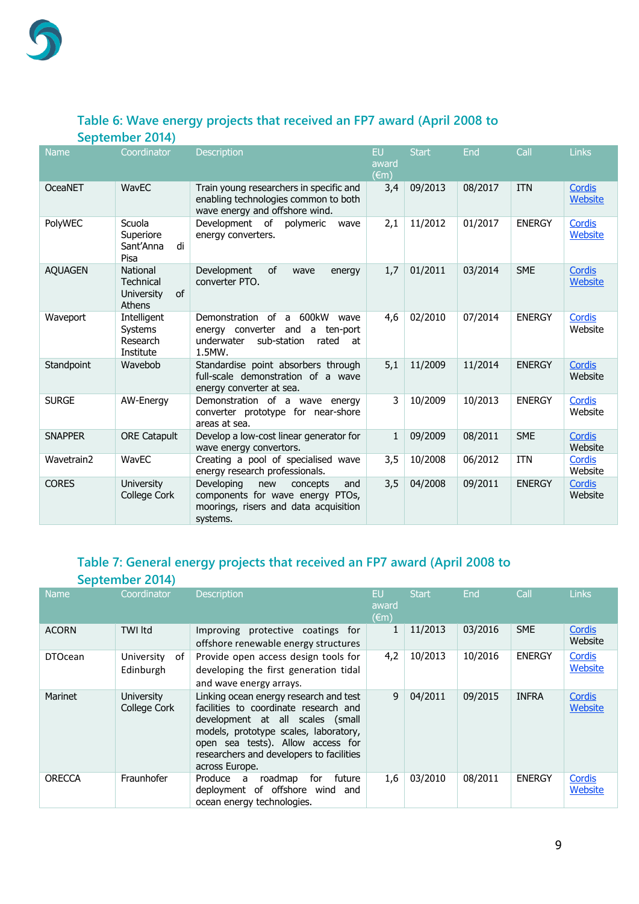#### <span id="page-8-0"></span>**Table 6: Wave energy projects that received an FP7 award (April 2008 to September 2014)**

| <b>Name</b>    | Coordinator                                                       | <b>Description</b>                                                                                                                               | EU<br>award<br>$(\epsilon m)$ | <b>Start</b> | End     | Call          | Links                    |
|----------------|-------------------------------------------------------------------|--------------------------------------------------------------------------------------------------------------------------------------------------|-------------------------------|--------------|---------|---------------|--------------------------|
| OceaNET        | WavEC                                                             | Train young researchers in specific and<br>enabling technologies common to both<br>wave energy and offshore wind.                                | 3,4                           | 09/2013      | 08/2017 | <b>ITN</b>    | <b>Cordis</b><br>Website |
| PolyWEC        | Scuola<br>Superiore<br>Sant'Anna<br>di<br>Pisa                    | Development of<br>polymeric<br>wave<br>energy converters.                                                                                        | 2,1                           | 11/2012      | 01/2017 | <b>ENERGY</b> | Cordis<br>Website        |
| <b>AQUAGEN</b> | National<br><b>Technical</b><br>of<br>University<br><b>Athens</b> | Development<br><b>of</b><br>wave<br>energy<br>converter PTO.                                                                                     | 1,7                           | 01/2011      | 03/2014 | <b>SME</b>    | <b>Cordis</b><br>Website |
| Waveport       | Intelligent<br>Systems<br>Research<br>Institute                   | Demonstration of<br>600kW<br>$\mathsf{a}$<br>wave<br>energy converter and<br>ten-port<br>a<br>underwater<br>sub-station<br>rated<br>at<br>1.5MW. | 4,6                           | 02/2010      | 07/2014 | <b>ENERGY</b> | Cordis<br>Website        |
| Standpoint     | Wavebob                                                           | Standardise point absorbers through<br>full-scale demonstration of a wave<br>energy converter at sea.                                            | 5,1                           | 11/2009      | 11/2014 | <b>ENERGY</b> | Cordis<br>Website        |
| <b>SURGE</b>   | AW-Energy                                                         | Demonstration of a wave energy<br>converter prototype for near-shore<br>areas at sea.                                                            | 3                             | 10/2009      | 10/2013 | <b>ENERGY</b> | Cordis<br>Website        |
| <b>SNAPPER</b> | <b>ORE Catapult</b>                                               | Develop a low-cost linear generator for<br>wave energy convertors.                                                                               | 1                             | 09/2009      | 08/2011 | <b>SME</b>    | Cordis<br>Website        |
| Wavetrain2     | WavEC                                                             | Creating a pool of specialised wave<br>energy research professionals.                                                                            | 3,5                           | 10/2008      | 06/2012 | <b>ITN</b>    | Cordis<br>Website        |
| <b>CORES</b>   | <b>University</b><br>College Cork                                 | Developing<br>and<br>new<br>concepts<br>components for wave energy PTOs,<br>moorings, risers and data acquisition<br>systems.                    | 3,5                           | 04/2008      | 09/2011 | <b>ENERGY</b> | <b>Cordis</b><br>Website |

#### <span id="page-8-1"></span>**Table 7: General energy projects that received an FP7 award (April 2008 to September 2014)**

|                | September 2014)                   |                                                                                                                                                                                                                                                                 |                                      |              |            |               |                          |
|----------------|-----------------------------------|-----------------------------------------------------------------------------------------------------------------------------------------------------------------------------------------------------------------------------------------------------------------|--------------------------------------|--------------|------------|---------------|--------------------------|
| <b>Name</b>    | Coordinator                       | <b>Description</b>                                                                                                                                                                                                                                              | <b>EU</b><br>award<br>$(\epsilon m)$ | <b>Start</b> | <b>End</b> | Call          | <b>Links</b>             |
| <b>ACORN</b>   | TWI Itd                           | Improving protective coatings for<br>offshore renewable energy structures                                                                                                                                                                                       |                                      | 11/2013      | 03/2016    | <b>SME</b>    | Cordis<br>Website        |
| <b>DTOcean</b> | University<br>of<br>Edinburgh     | Provide open access design tools for<br>developing the first generation tidal<br>and wave energy arrays.                                                                                                                                                        | 4,2                                  | 10/2013      | 10/2016    | <b>ENERGY</b> | Cordis<br>Website        |
| <b>Marinet</b> | <b>University</b><br>College Cork | Linking ocean energy research and test<br>facilities to coordinate research and<br>development at all scales (small<br>models, prototype scales, laboratory,<br>open sea tests). Allow access for<br>researchers and developers to facilities<br>across Europe. | 9                                    | 04/2011      | 09/2015    | <b>INFRA</b>  | Cordis<br><b>Website</b> |
| <b>ORECCA</b>  | Fraunhofer                        | for<br>future<br>Produce<br>roadmap<br>a<br>of offshore<br>deployment<br>wind<br>and<br>ocean energy technologies.                                                                                                                                              | 1,6                                  | 03/2010      | 08/2011    | <b>ENERGY</b> | Cordis<br>Website        |